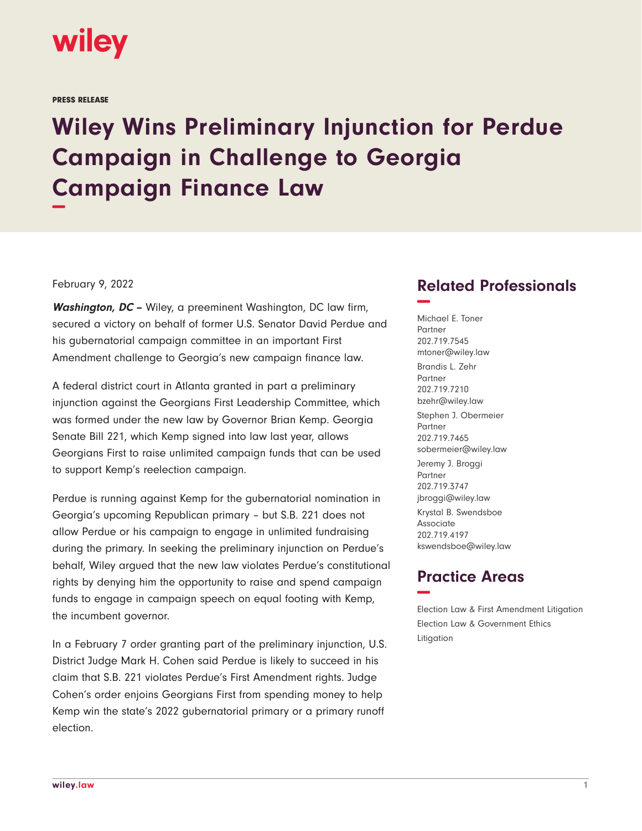

PRESS RELEASE

## **Wiley Wins Preliminary Injunction for Perdue Campaign in Challenge to Georgia Campaign Finance Law −**

## February 9, 2022

**Washington, DC –** Wiley, a preeminent Washington, DC law firm, secured a victory on behalf of former U.S. Senator David Perdue and his gubernatorial campaign committee in an important First Amendment challenge to Georgia's new campaign finance law.

A federal district court in Atlanta granted in part a preliminary injunction against the Georgians First Leadership Committee, which was formed under the new law by Governor Brian Kemp. Georgia Senate Bill 221, which Kemp signed into law last year, allows Georgians First to raise unlimited campaign funds that can be used to support Kemp's reelection campaign.

Perdue is running against Kemp for the gubernatorial nomination in Georgia's upcoming Republican primary – but S.B. 221 does not allow Perdue or his campaign to engage in unlimited fundraising during the primary. In seeking the preliminary injunction on Perdue's behalf, Wiley argued that the new law violates Perdue's constitutional rights by denying him the opportunity to raise and spend campaign funds to engage in campaign speech on equal footing with Kemp, the incumbent governor.

In a February 7 order granting part of the preliminary injunction, U.S. District Judge Mark H. Cohen said Perdue is likely to succeed in his claim that S.B. 221 violates Perdue's First Amendment rights. Judge Cohen's order enjoins Georgians First from spending money to help Kemp win the state's 2022 gubernatorial primary or a primary runoff election.

## **Related Professionals −**

Michael E. Toner Partner 202.719.7545 mtoner@wiley.law Brandis L. Zehr Partner 202.719.7210 bzehr@wiley.law Stephen J. Obermeier Partner 202.719.7465 sobermeier@wiley.law Jeremy J. Broggi Partner 202.719.3747 jbroggi@wiley.law Krystal B. Swendsboe Associate 202.719.4197 kswendsboe@wiley.law

## **Practice Areas −**

Election Law & First Amendment Litigation Election Law & Government Ethics Litigation